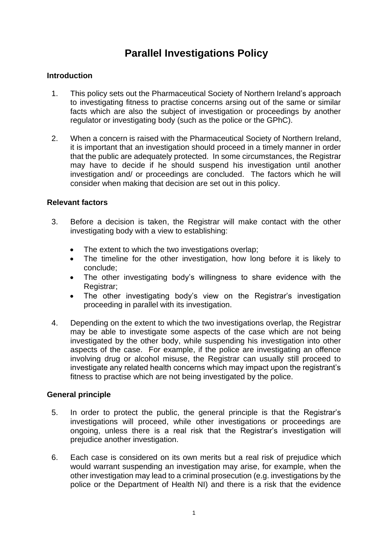# **Parallel Investigations Policy**

### **Introduction**

- 1. This policy sets out the Pharmaceutical Society of Northern Ireland's approach to investigating fitness to practise concerns arsing out of the same or similar facts which are also the subject of investigation or proceedings by another regulator or investigating body (such as the police or the GPhC).
- 2. When a concern is raised with the Pharmaceutical Society of Northern Ireland, it is important that an investigation should proceed in a timely manner in order that the public are adequately protected. In some circumstances, the Registrar may have to decide if he should suspend his investigation until another investigation and/ or proceedings are concluded. The factors which he will consider when making that decision are set out in this policy.

### **Relevant factors**

- 3. Before a decision is taken, the Registrar will make contact with the other investigating body with a view to establishing:
	- The extent to which the two investigations overlap;
	- The timeline for the other investigation, how long before it is likely to conclude;
	- The other investigating body's willingness to share evidence with the Registrar;
	- The other investigating body's view on the Registrar's investigation proceeding in parallel with its investigation.
- 4. Depending on the extent to which the two investigations overlap, the Registrar may be able to investigate some aspects of the case which are not being investigated by the other body, while suspending his investigation into other aspects of the case. For example, if the police are investigating an offence involving drug or alcohol misuse, the Registrar can usually still proceed to investigate any related health concerns which may impact upon the registrant's fitness to practise which are not being investigated by the police.

### **General principle**

- 5. In order to protect the public, the general principle is that the Registrar's investigations will proceed, while other investigations or proceedings are ongoing, unless there is a real risk that the Registrar's investigation will prejudice another investigation.
- 6. Each case is considered on its own merits but a real risk of prejudice which would warrant suspending an investigation may arise, for example, when the other investigation may lead to a criminal prosecution (e.g. investigations by the police or the Department of Health NI) and there is a risk that the evidence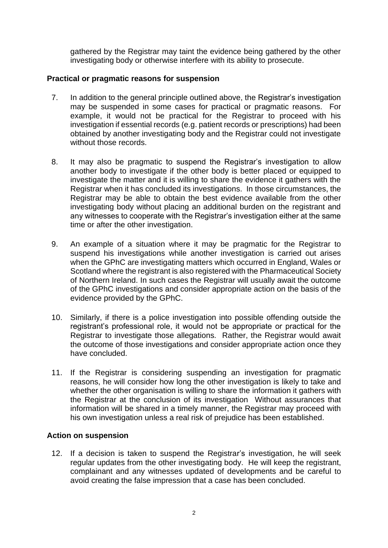gathered by the Registrar may taint the evidence being gathered by the other investigating body or otherwise interfere with its ability to prosecute.

## **Practical or pragmatic reasons for suspension**

- 7. In addition to the general principle outlined above, the Registrar's investigation may be suspended in some cases for practical or pragmatic reasons. For example, it would not be practical for the Registrar to proceed with his investigation if essential records (e.g. patient records or prescriptions) had been obtained by another investigating body and the Registrar could not investigate without those records.
- 8. It may also be pragmatic to suspend the Registrar's investigation to allow another body to investigate if the other body is better placed or equipped to investigate the matter and it is willing to share the evidence it gathers with the Registrar when it has concluded its investigations. In those circumstances, the Registrar may be able to obtain the best evidence available from the other investigating body without placing an additional burden on the registrant and any witnesses to cooperate with the Registrar's investigation either at the same time or after the other investigation.
- 9. An example of a situation where it may be pragmatic for the Registrar to suspend his investigations while another investigation is carried out arises when the GPhC are investigating matters which occurred in England, Wales or Scotland where the registrant is also registered with the Pharmaceutical Society of Northern Ireland. In such cases the Registrar will usually await the outcome of the GPhC investigations and consider appropriate action on the basis of the evidence provided by the GPhC.
- 10. Similarly, if there is a police investigation into possible offending outside the registrant's professional role, it would not be appropriate or practical for the Registrar to investigate those allegations. Rather, the Registrar would await the outcome of those investigations and consider appropriate action once they have concluded.
- 11. If the Registrar is considering suspending an investigation for pragmatic reasons, he will consider how long the other investigation is likely to take and whether the other organisation is willing to share the information it gathers with the Registrar at the conclusion of its investigation Without assurances that information will be shared in a timely manner, the Registrar may proceed with his own investigation unless a real risk of prejudice has been established.

### **Action on suspension**

12. If a decision is taken to suspend the Registrar's investigation, he will seek regular updates from the other investigating body. He will keep the registrant, complainant and any witnesses updated of developments and be careful to avoid creating the false impression that a case has been concluded.